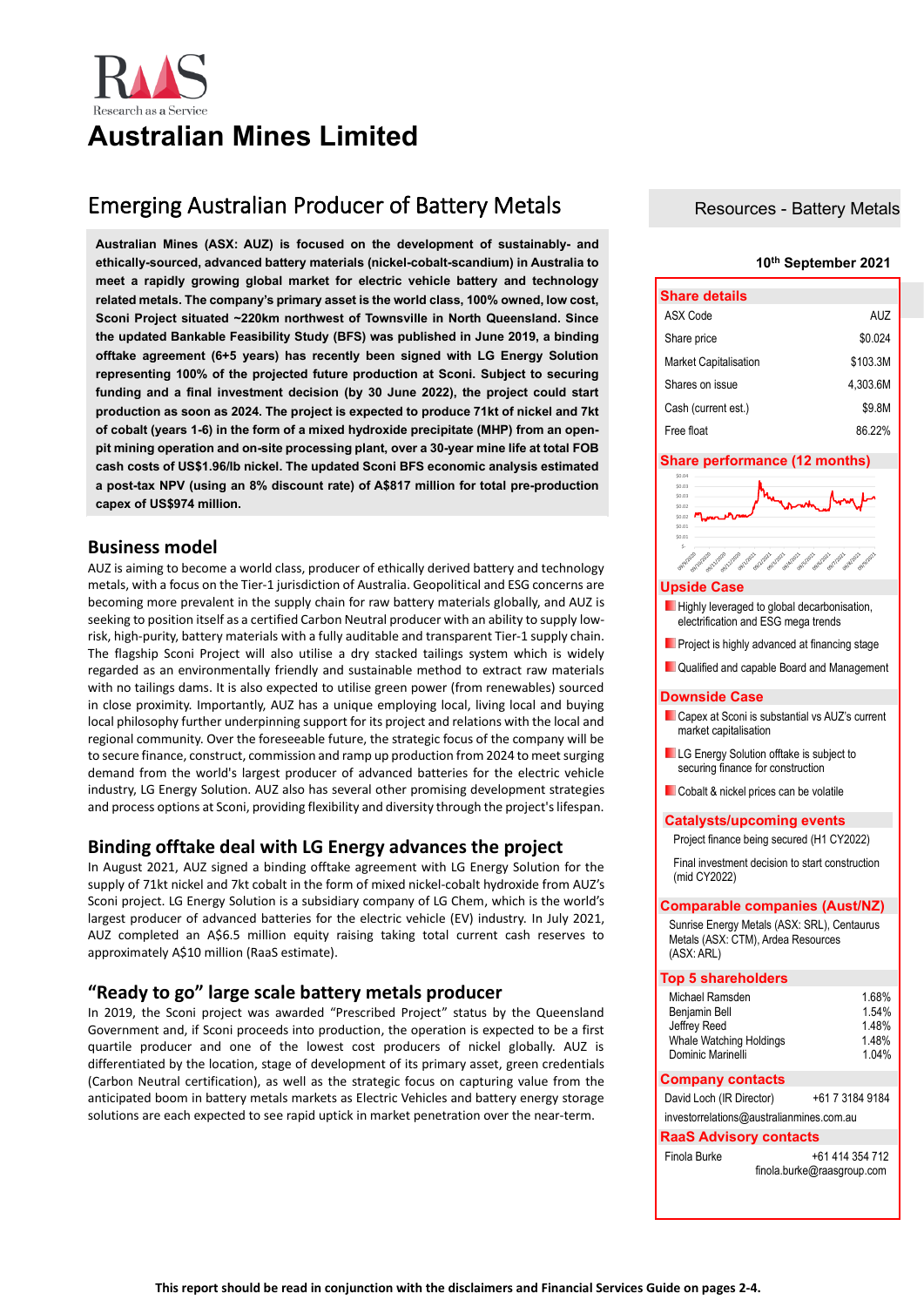# **Australian Mines Limited**

# Emerging Australian Producer of Battery Metals

**Australian Mines (ASX: AUZ) is focused on the development of sustainably- and ethically-sourced, advanced battery materials (nickel-cobalt-scandium) in Australia to meet a rapidly growing global market for electric vehicle battery and technology related metals. The company's primary asset is the world class, 100% owned, low cost, Sconi Project situated ~220km northwest of Townsville in North Queensland. Since the updated Bankable Feasibility Study (BFS) was published in June 2019, a binding offtake agreement (6+5 years) has recently been signed with LG Energy Solution representing 100% of the projected future production at Sconi. Subject to securing funding and a final investment decision (by 30 June 2022), the project could start production as soon as 2024. The project is expected to produce 71kt of nickel and 7kt of cobalt (years 1-6) in the form of a mixed hydroxide precipitate (MHP) from an openpit mining operation and on-site processing plant, over a 30-year mine life at total FOB cash costs of US\$1.96/lb nickel. The updated Sconi BFS economic analysis estimated a post-tax NPV (using an 8% discount rate) of A\$817 million for total pre-production capex of US\$974 million.**

## **Business model**

AUZ is aiming to become a world class, producer of ethically derived battery and technology metals, with a focus on the Tier-1 jurisdiction of Australia. Geopolitical and ESG concerns are becoming more prevalent in the supply chain for raw battery materials globally, and AUZ is seeking to position itself as a certified Carbon Neutral producer with an ability to supply lowrisk, high-purity, battery materials with a fully auditable and transparent Tier-1 supply chain. The flagship Sconi Project will also utilise a dry stacked tailings system which is widely regarded as an environmentally friendly and sustainable method to extract raw materials with no tailings dams. It is also expected to utilise green power (from renewables) sourced in close proximity. Importantly, AUZ has a unique employing local, living local and buying local philosophy further underpinning support for its project and relations with the local and regional community. Over the foreseeable future, the strategic focus of the company will be to secure finance, construct, commission and ramp up production from 2024 to meet surging demand from the world's largest producer of advanced batteries for the electric vehicle industry, LG Energy Solution. AUZ also has several other promising development strategies and process options at Sconi, providing flexibility and diversity through the project's lifespan.

# **Binding offtake deal with LG Energy advances the project**

In August 2021, AUZ signed a binding offtake agreement with LG Energy Solution for the supply of 71kt nickel and 7kt cobalt in the form of mixed nickel-cobalt hydroxide from AUZ's Sconi project. LG Energy Solution is a subsidiary company of LG Chem, which is the world's largest producer of advanced batteries for the electric vehicle (EV) industry. In July 2021, AUZ completed an A\$6.5 million equity raising taking total current cash reserves to approximately A\$10 million (RaaS estimate).

# **"Ready to go" large scale battery metals producer**

In 2019, the Sconi project was awarded "Prescribed Project" status by the Queensland Government and, if Sconi proceeds into production, the operation is expected to be a first quartile producer and one of the lowest cost producers of nickel globally. AUZ is differentiated by the location, stage of development of its primary asset, green credentials (Carbon Neutral certification), as well as the strategic focus on capturing value from the anticipated boom in battery metals markets as Electric Vehicles and battery energy storage solutions are each expected to see rapid uptick in market penetration over the near-term.

### Resources - Battery Metals

### **10th September 2021**

| <b>Share details</b>         |          |  |  |  |
|------------------------------|----------|--|--|--|
| ASX Code                     | AUZ      |  |  |  |
| Share price                  | \$0.024  |  |  |  |
| <b>Market Capitalisation</b> | \$103.3M |  |  |  |
| Shares on issue              | 4.303.6M |  |  |  |
| Cash (current est.)          | \$9.8M   |  |  |  |
| Free float                   | 86 22%   |  |  |  |

### **Share performance (12 months)**

| \$0.04                                                                                                         |  |
|----------------------------------------------------------------------------------------------------------------|--|
| \$0.03                                                                                                         |  |
| \$0.03                                                                                                         |  |
| \$0.02                                                                                                         |  |
| \$0.02                                                                                                         |  |
| \$0.01                                                                                                         |  |
| \$0.01                                                                                                         |  |
| Ś-                                                                                                             |  |
| And really the process and a control of the control of the control of the control of the control of<br>opplane |  |
|                                                                                                                |  |

### **Upside Case**

- **Highly leveraged to global decarbonisation** electrification and ESG mega trends
- **Project is highly advanced at financing stage**
- **Qualified and capable Board and Management**

### **Downside Case**

- **Capex at Sconi is substantial vs AUZ's current** market capitalisation
- **LG** Energy Solution offtake is subject to securing finance for construction
- Cobalt & nickel prices can be volatile

### **Catalysts/upcoming events**

Project finance being secured (H1 CY2022) Final investment decision to start construction (mid CY2022)

### **Comparable companies (Aust/NZ)**

Sunrise Energy Metals (ASX: SRL), Centaurus Metals (ASX: CTM), Ardea Resources (ASX: ARL)

### **Top 5 shareholders**

| Michael Ramsden         | 1.68% |
|-------------------------|-------|
| Benjamin Bell           | 1.54% |
| Jeffrey Reed            | 1.48% |
| Whale Watching Holdings | 1.48% |
| Dominic Marinelli       | 1.04% |
| <b>Company contacts</b> |       |

| David Loch (IR Director)                 |  | +61 7 3184 9184            |  |  |  |
|------------------------------------------|--|----------------------------|--|--|--|
| investorrelations@australianmines.com.au |  |                            |  |  |  |
| <b>RaaS Advisory contacts</b>            |  |                            |  |  |  |
| Finola Burke                             |  | +61 414 354 712            |  |  |  |
|                                          |  | finola.burke@raasgroup.com |  |  |  |
|                                          |  |                            |  |  |  |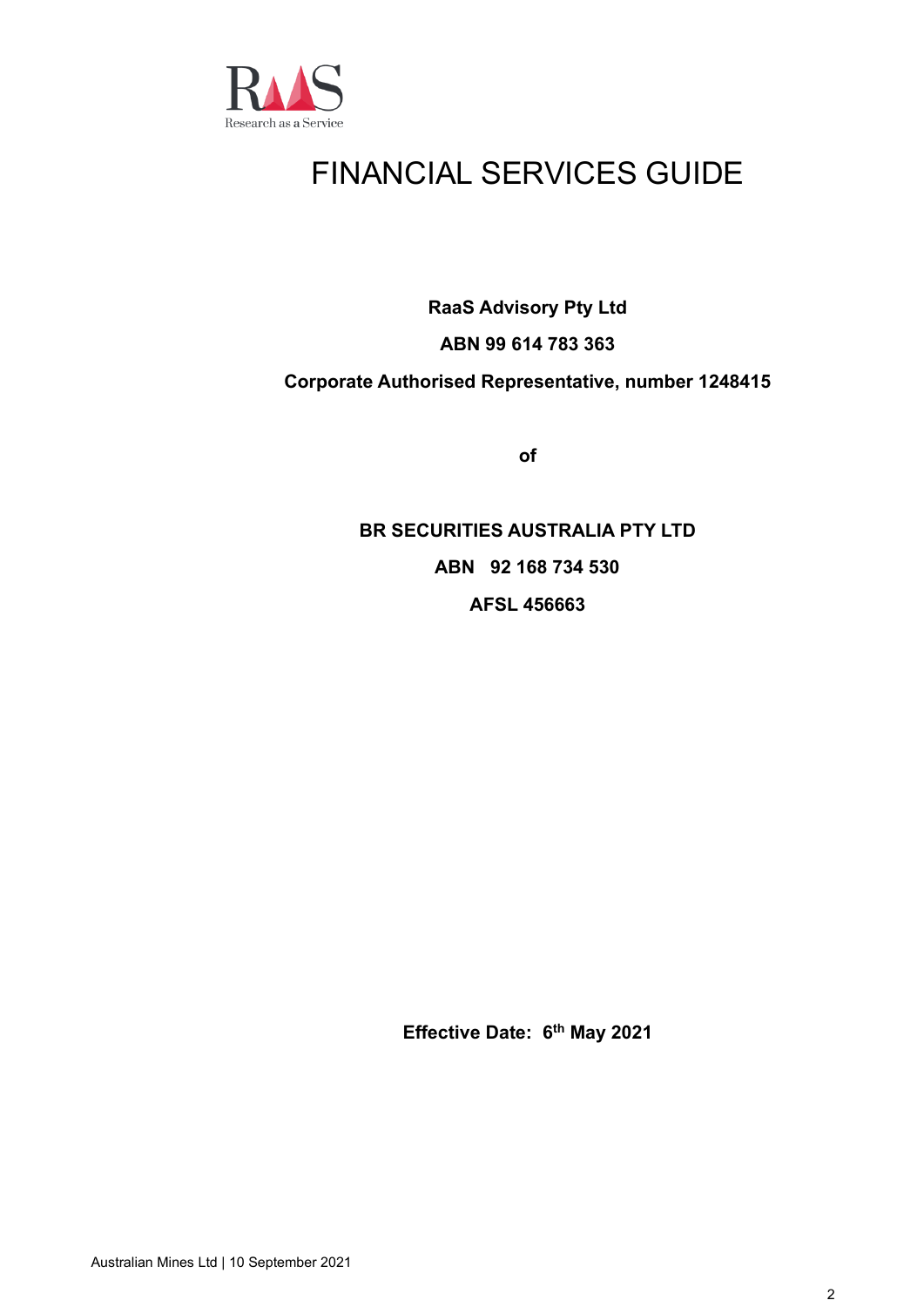

# FINANCIAL SERVICES GUIDE

**RaaS Advisory Pty Ltd**

# **ABN 99 614 783 363**

# **Corporate Authorised Representative, number 1248415**

**of**

**BR SECURITIES AUSTRALIA PTY LTD ABN 92 168 734 530 AFSL 456663**

**Effective Date: 6 th May 2021**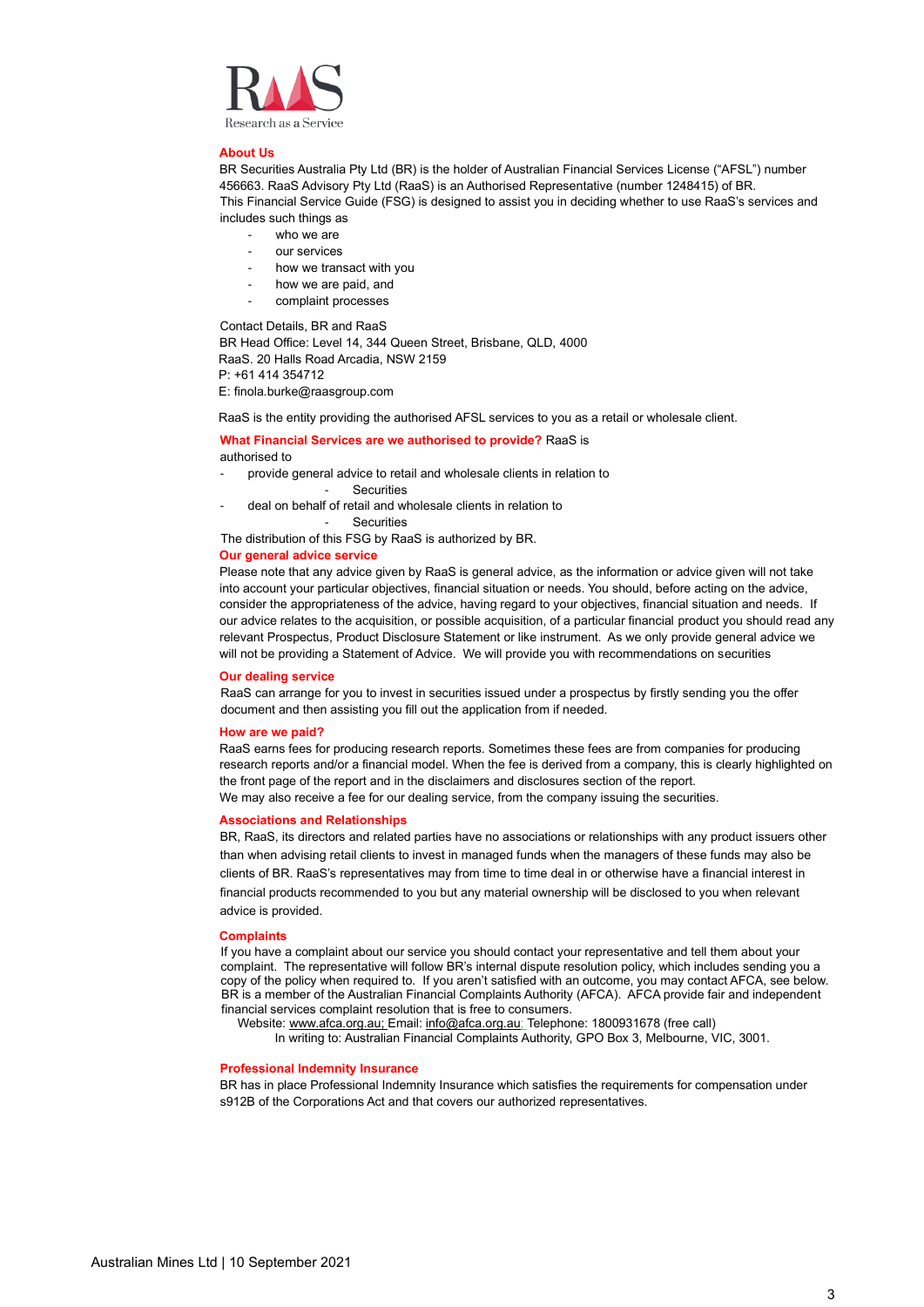

### **About Us**

BR Securities Australia Pty Ltd (BR) is the holder of Australian Financial Services License ("AFSL") number 456663. RaaS Advisory Pty Ltd (RaaS) is an Authorised Representative (number 1248415) of BR. This Financial Service Guide (FSG) is designed to assist you in deciding whether to use RaaS's services and includes such things as

- who we are
- our services
- how we transact with you
- how we are paid, and
- complaint processes

Contact Details, BR and RaaS

BR Head Office: Level 14, 344 Queen Street, Brisbane, QLD, 4000 RaaS. 20 Halls Road Arcadia, NSW 2159 P: +61 414 354712

E: finola.burke@raasgroup.com

RaaS is the entity providing the authorised AFSL services to you as a retail or wholesale client.

### **What Financial Services are we authorised to provide?** RaaS is authorised to

- provide general advice to retail and wholesale clients in relation to
	- Securities
- deal on behalf of retail and wholesale clients in relation to

**Securities** 

The distribution of this FSG by RaaS is authorized by BR.

### **Our general advice service**

Please note that any advice given by RaaS is general advice, as the information or advice given will not take into account your particular objectives, financial situation or needs. You should, before acting on the advice, consider the appropriateness of the advice, having regard to your objectives, financial situation and needs. If our advice relates to the acquisition, or possible acquisition, of a particular financial product you should read any relevant Prospectus, Product Disclosure Statement or like instrument. As we only provide general advice we will not be providing a Statement of Advice. We will provide you with recommendations on securities

### **Our dealing service**

RaaS can arrange for you to invest in securities issued under a prospectus by firstly sending you the offer document and then assisting you fill out the application from if needed.

### **How are we paid?**

RaaS earns fees for producing research reports. Sometimes these fees are from companies for producing research reports and/or a financial model. When the fee is derived from a company, this is clearly highlighted on the front page of the report and in the disclaimers and disclosures section of the report. We may also receive a fee for our dealing service, from the company issuing the securities.

### **Associations and Relationships**

BR, RaaS, its directors and related parties have no associations or relationships with any product issuers other than when advising retail clients to invest in managed funds when the managers of these funds may also be clients of BR. RaaS's representatives may from time to time deal in or otherwise have a financial interest in financial products recommended to you but any material ownership will be disclosed to you when relevant advice is provided.

### **Complaints**

If you have a complaint about our service you should contact your representative and tell them about your complaint. The representative will follow BR's internal dispute resolution policy, which includes sending you a copy of the policy when required to. If you aren't satisfied with an outcome, you may contact AFCA, see below. BR is a member of the Australian Financial Complaints Authority (AFCA). AFCA provide fair and independent financial services complaint resolution that is free to consumers.

Website[: www.afca.org.au;](http://www.afca.org.au/) Email[: info@afca.org.au;](mailto:info@afca.org.au) Telephone: 1800931678 (free call)

In writing to: Australian Financial Complaints Authority, GPO Box 3, Melbourne, VIC, 3001.

### **Professional Indemnity Insurance**

BR has in place Professional Indemnity Insurance which satisfies the requirements for compensation under s912B of the Corporations Act and that covers our authorized representatives.